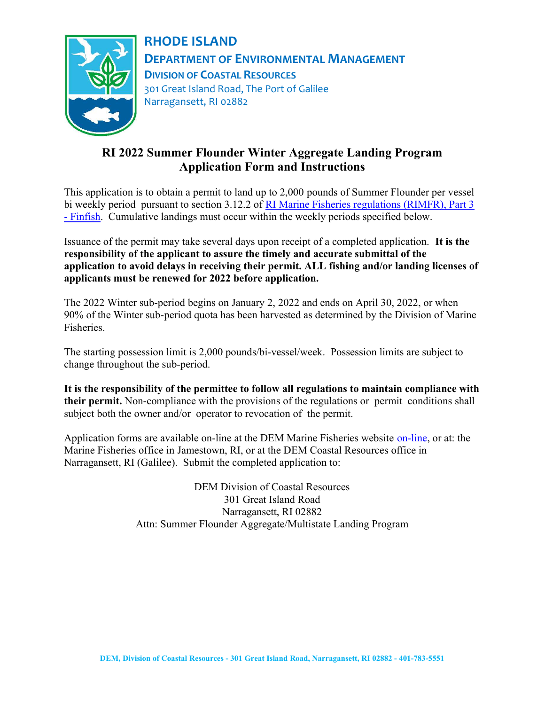

# RHODE ISLAND DEPARTMENT OF ENVIRONMENTAL MANAGEMENT DIVISION OF COASTAL RESOURCES 301 Great Island Road, The Port of Galilee Narragansett, RI 02882

## RI 2022 Summer Flounder Winter Aggregate Landing Program Application Form and Instructions

This application is to obtain a permit to land up to 2,000 pounds of Summer Flounder per vessel bi weekly period pursuant to section 3.12.2 of RI Marine Fisheries regulations (RIMFR), Part 3 - Finfish. Cumulative landings must occur within the weekly periods specified below.

Issuance of the permit may take several days upon receipt of a completed application. It is the responsibility of the applicant to assure the timely and accurate submittal of the application to avoid delays in receiving their permit. ALL fishing and/or landing licenses of applicants must be renewed for 2022 before application.

The 2022 Winter sub-period begins on January 2, 2022 and ends on April 30, 2022, or when 90% of the Winter sub-period quota has been harvested as determined by the Division of Marine Fisheries.

The starting possession limit is 2,000 pounds/bi-vessel/week. Possession limits are subject to change throughout the sub-period.

It is the responsibility of the permittee to follow all regulations to maintain compliance with their permit. Non-compliance with the provisions of the regulations or permit conditions shall subject both the owner and/or operator to revocation of the permit.

Application forms are available on-line at the DEM Marine Fisheries website on-line, or at: the Marine Fisheries office in Jamestown, RI, or at the DEM Coastal Resources office in Narragansett, RI (Galilee). Submit the completed application to:

> DEM Division of Coastal Resources 301 Great Island Road Narragansett, RI 02882 Attn: Summer Flounder Aggregate/Multistate Landing Program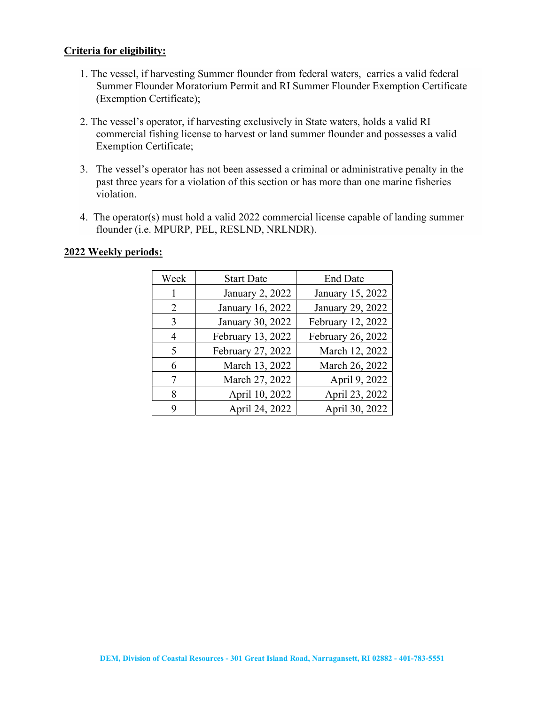#### Criteria for eligibility:

- 1. The vessel, if harvesting Summer flounder from federal waters, carries a valid federal Summer Flounder Moratorium Permit and RI Summer Flounder Exemption Certificate (Exemption Certificate);
- 2. The vessel's operator, if harvesting exclusively in State waters, holds a valid RI commercial fishing license to harvest or land summer flounder and possesses a valid Exemption Certificate;
- 3. The vessel's operator has not been assessed a criminal or administrative penalty in the past three years for a violation of this section or has more than one marine fisheries violation.
- 4. The operator(s) must hold a valid 2022 commercial license capable of landing summer flounder (i.e. MPURP, PEL, RESLND, NRLNDR).

#### 2022 Weekly periods:

| Week                        | <b>Start Date</b> | <b>End Date</b>   |
|-----------------------------|-------------------|-------------------|
|                             | January 2, 2022   | January 15, 2022  |
| $\mathcal{D}_{\mathcal{L}}$ | January 16, 2022  | January 29, 2022  |
| 3                           | January 30, 2022  | February 12, 2022 |
| 4                           | February 13, 2022 | February 26, 2022 |
| $\overline{\mathcal{L}}$    | February 27, 2022 | March 12, 2022    |
| 6                           | March 13, 2022    | March 26, 2022    |
| 7                           | March 27, 2022    | April 9, 2022     |
| 8                           | April 10, 2022    | April 23, 2022    |
| Q                           | April 24, 2022    | April 30, 2022    |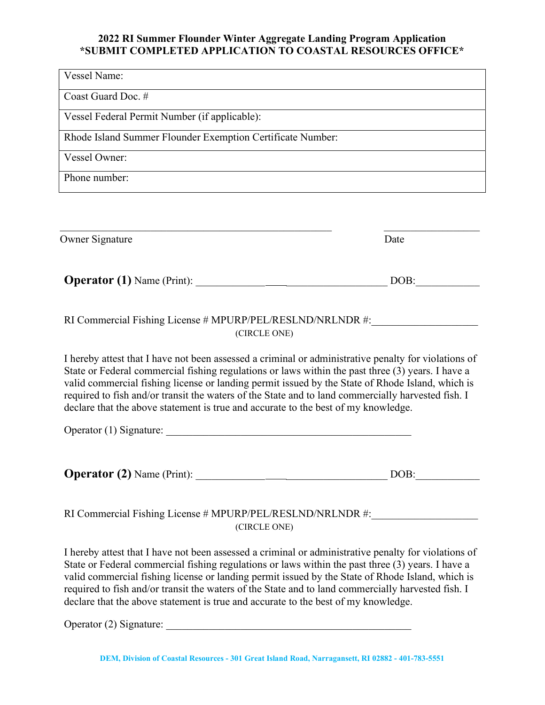### 2022 RI Summer Flounder Winter Aggregate Landing Program Application \*SUBMIT COMPLETED APPLICATION TO COASTAL RESOURCES OFFICE\*

Vessel Name: Coast Guard Doc. # Vessel Federal Permit Number (if applicable): Rhode Island Summer Flounder Exemption Certificate Number: Vessel Owner: Phone number:

| <b>Owner Signature</b>                                                                                                                                                                                                                                                                                                                                                                                                                                                                                    | Date |
|-----------------------------------------------------------------------------------------------------------------------------------------------------------------------------------------------------------------------------------------------------------------------------------------------------------------------------------------------------------------------------------------------------------------------------------------------------------------------------------------------------------|------|
|                                                                                                                                                                                                                                                                                                                                                                                                                                                                                                           | DOB: |
| RI Commercial Fishing License # MPURP/PEL/RESLND/NRLNDR #:<br>(CIRCLE ONE)                                                                                                                                                                                                                                                                                                                                                                                                                                |      |
| I hereby attest that I have not been assessed a criminal or administrative penalty for violations of<br>State or Federal commercial fishing regulations or laws within the past three (3) years. I have a<br>valid commercial fishing license or landing permit issued by the State of Rhode Island, which is<br>required to fish and/or transit the waters of the State and to land commercially harvested fish. I<br>declare that the above statement is true and accurate to the best of my knowledge. |      |
|                                                                                                                                                                                                                                                                                                                                                                                                                                                                                                           |      |
|                                                                                                                                                                                                                                                                                                                                                                                                                                                                                                           | DOB: |
| RI Commercial Fishing License # MPURP/PEL/RESLND/NRLNDR #:<br>(CIRCLE ONE)                                                                                                                                                                                                                                                                                                                                                                                                                                |      |
| I hereby attest that I have not been assessed a criminal or administrative penalty for violations of<br>State or Federal commercial fishing regulations or laws within the past three (3) years. I have a<br>valid commercial fishing license or landing permit issued by the State of Rhode Island, which is<br>required to fish and/or transit the waters of the State and to land commercially harvested fish. I                                                                                       |      |

Operator (2) Signature:

declare that the above statement is true and accurate to the best of my knowledge.